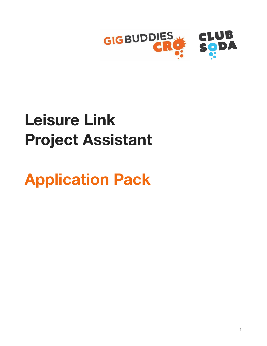

# **Leisure Link Project Assistant**

**Application Pack**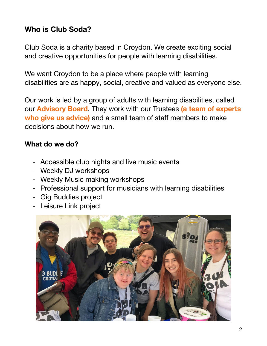# **Who is Club Soda?**

Club Soda is a charity based in Croydon. We create exciting social and creative opportunities for people with learning disabilities.

We want Croydon to be a place where people with learning disabilities are as happy, social, creative and valued as everyone else.

Our work is led by a group of adults with learning disabilities, called our **Advisory Board**. They work with our Trustees **(a team of experts who give us advice)** and a small team of staff members to make decisions about how we run.

#### **What do we do?**

- Accessible club nights and live music events
- Weekly DJ workshops
- Weekly Music making workshops
- Professional support for musicians with learning disabilities
- Gig Buddies project
- Leisure Link project

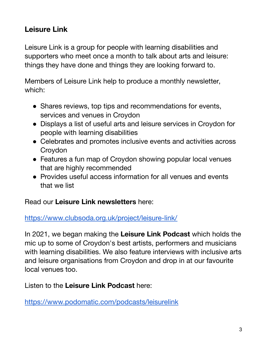# **Leisure Link**

Leisure Link is a group for people with learning disabilities and supporters who meet once a month to talk about arts and leisure: things they have done and things they are looking forward to.

Members of Leisure Link help to produce a monthly newsletter, which:

- Shares reviews, top tips and recommendations for events, services and venues in Croydon
- Displays a list of useful arts and leisure services in Croydon for people with learning disabilities
- Celebrates and promotes inclusive events and activities across Croydon
- Features a fun map of Croydon showing popular local venues that are highly recommended
- Provides useful access information for all venues and events that we list

Read our **Leisure Link newsletters** here:

<https://www.clubsoda.org.uk/project/leisure-link/>

In 2021, we began making the **Leisure Link Podcast** which holds the mic up to some of Croydon's best artists, performers and musicians with learning disabilities. We also feature interviews with inclusive arts and leisure organisations from Croydon and drop in at our favourite local venues too.

Listen to the **Leisure Link Podcast** here:

<https://www.podomatic.com/podcasts/leisurelink>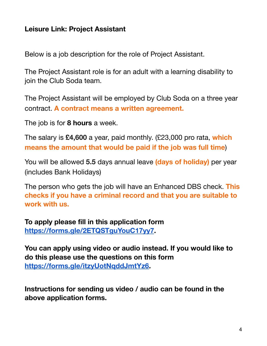#### **Leisure Link: Project Assistant**

Below is a job description for the role of Project Assistant.

The Project Assistant role is for an adult with a learning disability to join the Club Soda team.

The Project Assistant will be employed by Club Soda on a three year contract. **A contract means a written agreement.**

The job is for **8 hours** a week.

The salary is **£4,600** a year, paid monthly. (£23,000 pro rata, **which means the amount that would be paid if the job was full time**)

You will be allowed **5.5** days annual leave **(days of holiday)** per year (includes Bank Holidays)

The person who gets the job will have an Enhanced DBS check. **This checks if you have a criminal record and that you are suitable to work with us.**

**To apply please fill in this application form <https://forms.gle/2ETQSTguYouC17yy7>.**

**You can apply using video or audio instead. If you would like to do this please use the questions on this form [https://forms.gle/itzyUotNqddJmtYz6.](https://forms.gle/itzyUotNqddJmtYz6)**

**Instructions for sending us video / audio can be found in the above application forms.**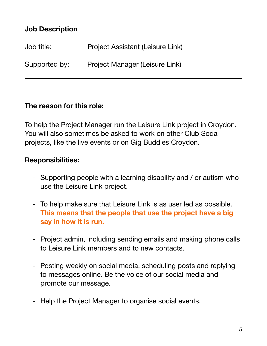## **Job Description**

| Job title:    | Project Assistant (Leisure Link) |
|---------------|----------------------------------|
| Supported by: | Project Manager (Leisure Link)   |

#### **The reason for this role:**

To help the Project Manager run the Leisure Link project in Croydon. You will also sometimes be asked to work on other Club Soda projects, like the live events or on Gig Buddies Croydon.

#### **Responsibilities:**

- Supporting people with a learning disability and / or autism who use the Leisure Link project.
- To help make sure that Leisure Link is as user led as possible. **This means that the people that use the project have a big say in how it is run.**
- Project admin, including sending emails and making phone calls to Leisure Link members and to new contacts.
- Posting weekly on social media, scheduling posts and replying to messages online. Be the voice of our social media and promote our message.
- Help the Project Manager to organise social events.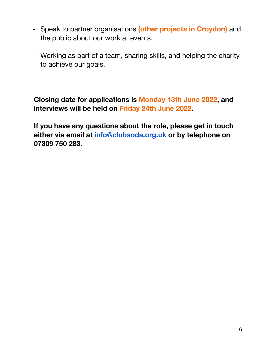- Speak to partner organisations **(other projects in Croydon)** and the public about our work at events.
- Working as part of a team, sharing skills, and helping the charity to achieve our goals.

**Closing date for applications is Monday 13th June 2022, and interviews will be held on Friday 24th June 2022.**

**If you have any questions about the role, please get in touch either via email at [info@clubsoda.org.uk](mailto:info@clubsoda.org.uk) or by telephone on 07309 750 283.**